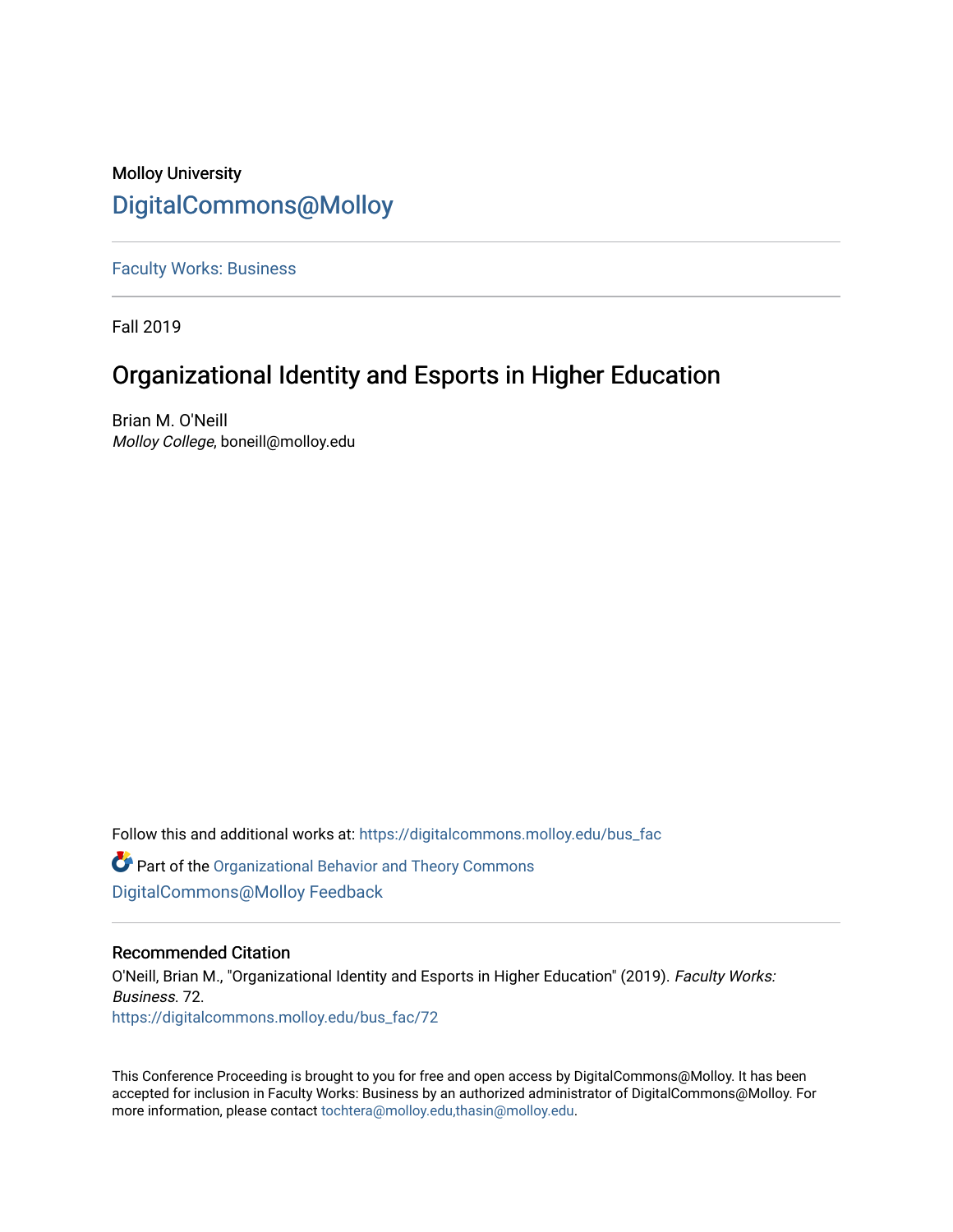# Molloy University [DigitalCommons@Molloy](https://digitalcommons.molloy.edu/)

[Faculty Works: Business](https://digitalcommons.molloy.edu/bus_fac) 

Fall 2019

# Organizational Identity and Esports in Higher Education

Brian M. O'Neill Molloy College, boneill@molloy.edu

Follow this and additional works at: [https://digitalcommons.molloy.edu/bus\\_fac](https://digitalcommons.molloy.edu/bus_fac?utm_source=digitalcommons.molloy.edu%2Fbus_fac%2F72&utm_medium=PDF&utm_campaign=PDFCoverPages)

**C** Part of the Organizational Behavior and Theory Commons [DigitalCommons@Molloy Feedback](https://molloy.libwizard.com/f/dcfeedback)

## Recommended Citation

O'Neill, Brian M., "Organizational Identity and Esports in Higher Education" (2019). Faculty Works: Business. 72. [https://digitalcommons.molloy.edu/bus\\_fac/72](https://digitalcommons.molloy.edu/bus_fac/72?utm_source=digitalcommons.molloy.edu%2Fbus_fac%2F72&utm_medium=PDF&utm_campaign=PDFCoverPages) 

This Conference Proceeding is brought to you for free and open access by DigitalCommons@Molloy. It has been accepted for inclusion in Faculty Works: Business by an authorized administrator of DigitalCommons@Molloy. For more information, please contact [tochtera@molloy.edu,thasin@molloy.edu.](mailto:tochtera@molloy.edu,thasin@molloy.edu)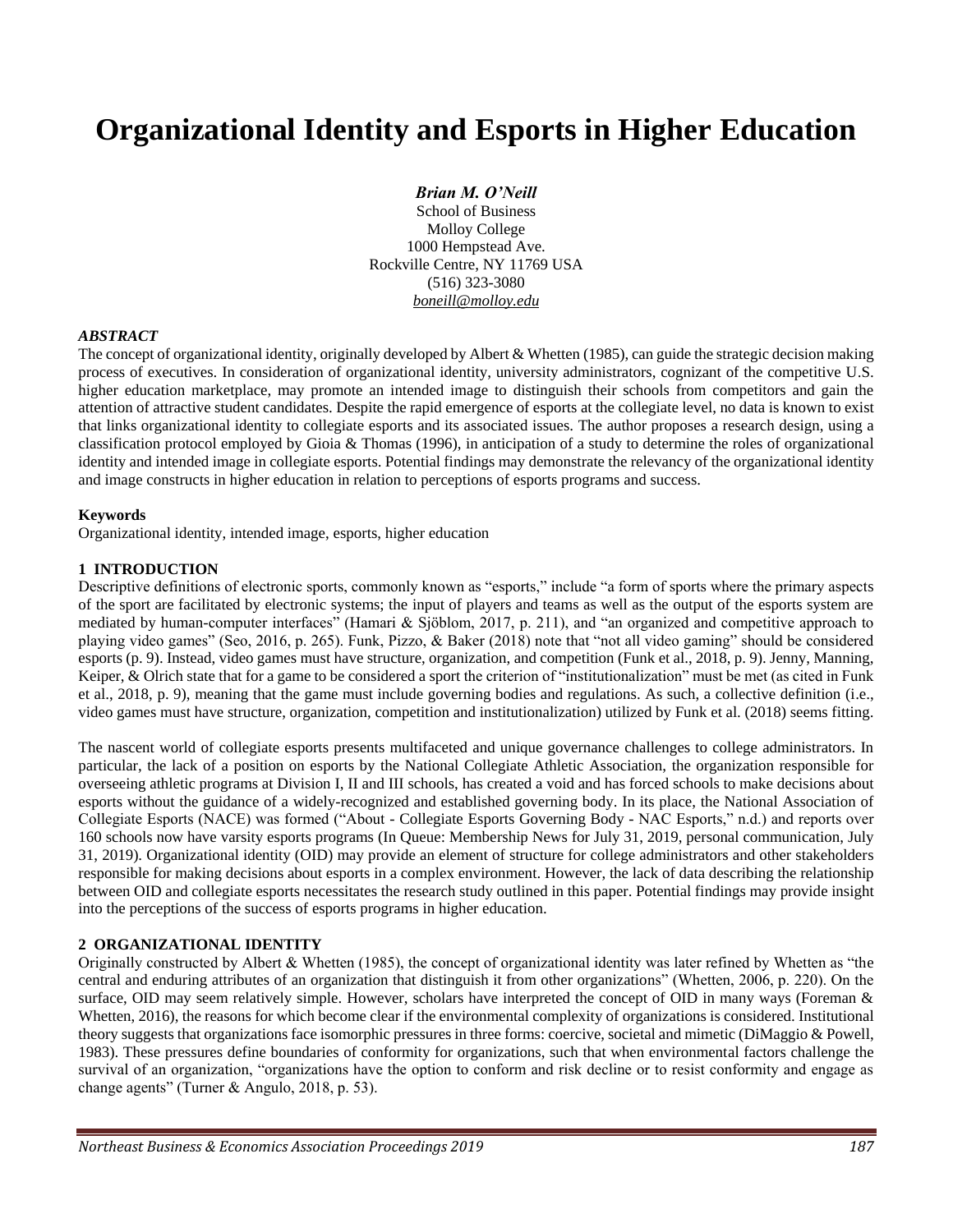# **Organizational Identity and Esports in Higher Education**

#### *Brian M. O'Neill*

School of Business Molloy College 1000 Hempstead Ave. Rockville Centre, NY 11769 USA (516) 323-3080 *boneill@molloy.edu*

#### *ABSTRACT*

The concept of organizational identity, originally developed by Albert & Whetten (1985), can guide the strategic decision making process of executives. In consideration of organizational identity, university administrators, cognizant of the competitive U.S. higher education marketplace, may promote an intended image to distinguish their schools from competitors and gain the attention of attractive student candidates. Despite the rapid emergence of esports at the collegiate level, no data is known to exist that links organizational identity to collegiate esports and its associated issues. The author proposes a research design, using a classification protocol employed by Gioia & Thomas (1996), in anticipation of a study to determine the roles of organizational identity and intended image in collegiate esports. Potential findings may demonstrate the relevancy of the organizational identity and image constructs in higher education in relation to perceptions of esports programs and success.

#### **Keywords**

Organizational identity, intended image, esports, higher education

#### **1 INTRODUCTION**

Descriptive definitions of electronic sports, commonly known as "esports," include "a form of sports where the primary aspects of the sport are facilitated by electronic systems; the input of players and teams as well as the output of the esports system are mediated by human-computer interfaces" (Hamari & Sjöblom, 2017, p. 211), and "an organized and competitive approach to playing video games" (Seo, 2016, p. 265). Funk, Pizzo, & Baker (2018) note that "not all video gaming" should be considered esports (p. 9). Instead, video games must have structure, organization, and competition (Funk et al., 2018, p. 9). Jenny, Manning, Keiper, & Olrich state that for a game to be considered a sport the criterion of "institutionalization" must be met (as cited in Funk et al., 2018, p. 9), meaning that the game must include governing bodies and regulations. As such, a collective definition (i.e., video games must have structure, organization, competition and institutionalization) utilized by Funk et al. (2018) seems fitting.

The nascent world of collegiate esports presents multifaceted and unique governance challenges to college administrators. In particular, the lack of a position on esports by the National Collegiate Athletic Association, the organization responsible for overseeing athletic programs at Division I, II and III schools, has created a void and has forced schools to make decisions about esports without the guidance of a widely-recognized and established governing body. In its place, the National Association of Collegiate Esports (NACE) was formed ("About - Collegiate Esports Governing Body - NAC Esports," n.d.) and reports over 160 schools now have varsity esports programs (In Queue: Membership News for July 31, 2019, personal communication, July 31, 2019). Organizational identity (OID) may provide an element of structure for college administrators and other stakeholders responsible for making decisions about esports in a complex environment. However, the lack of data describing the relationship between OID and collegiate esports necessitates the research study outlined in this paper. Potential findings may provide insight into the perceptions of the success of esports programs in higher education.

#### **2 ORGANIZATIONAL IDENTITY**

Originally constructed by Albert & Whetten (1985), the concept of organizational identity was later refined by Whetten as "the central and enduring attributes of an organization that distinguish it from other organizations" (Whetten, 2006, p. 220). On the surface, OID may seem relatively simple. However, scholars have interpreted the concept of OID in many ways (Foreman & Whetten, 2016), the reasons for which become clear if the environmental complexity of organizations is considered. Institutional theory suggests that organizations face isomorphic pressures in three forms: coercive, societal and mimetic (DiMaggio & Powell, 1983). These pressures define boundaries of conformity for organizations, such that when environmental factors challenge the survival of an organization, "organizations have the option to conform and risk decline or to resist conformity and engage as change agents" (Turner & Angulo, 2018, p. 53).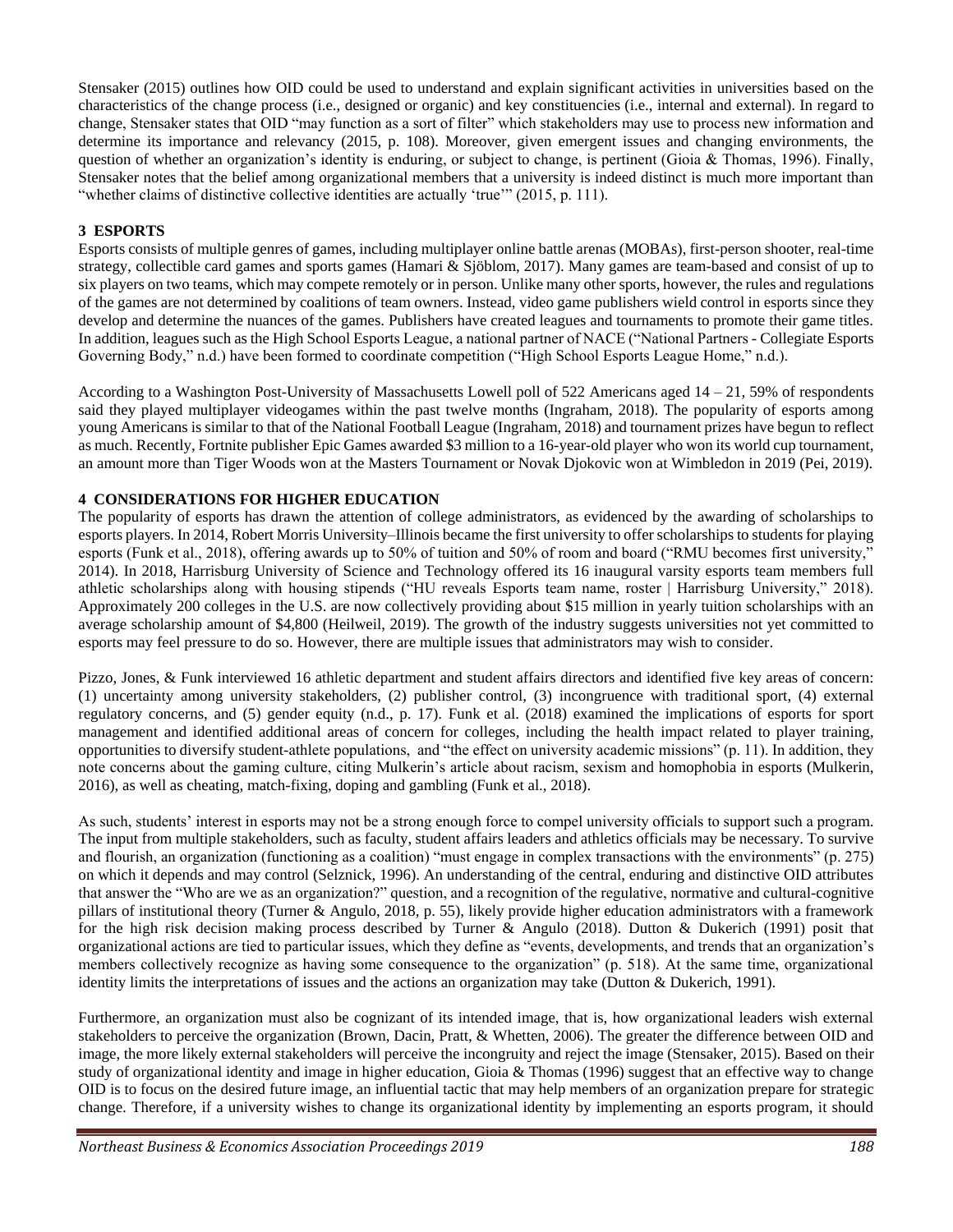Stensaker (2015) outlines how OID could be used to understand and explain significant activities in universities based on the characteristics of the change process (i.e., designed or organic) and key constituencies (i.e., internal and external). In regard to change, Stensaker states that OID "may function as a sort of filter" which stakeholders may use to process new information and determine its importance and relevancy (2015, p. 108). Moreover, given emergent issues and changing environments, the question of whether an organization's identity is enduring, or subject to change, is pertinent (Gioia & Thomas, 1996). Finally, Stensaker notes that the belief among organizational members that a university is indeed distinct is much more important than "whether claims of distinctive collective identities are actually 'true'" (2015, p. 111).

# **3 ESPORTS**

Esports consists of multiple genres of games, including multiplayer online battle arenas (MOBAs), first-person shooter, real-time strategy, collectible card games and sports games (Hamari & Sjöblom, 2017). Many games are team-based and consist of up to six players on two teams, which may compete remotely or in person. Unlike many other sports, however, the rules and regulations of the games are not determined by coalitions of team owners. Instead, video game publishers wield control in esports since they develop and determine the nuances of the games. Publishers have created leagues and tournaments to promote their game titles. In addition, leagues such as the High School Esports League, a national partner of NACE ("National Partners - Collegiate Esports Governing Body," n.d.) have been formed to coordinate competition ("High School Esports League Home," n.d.).

According to a Washington Post-University of Massachusetts Lowell poll of 522 Americans aged  $14 - 21$ , 59% of respondents said they played multiplayer videogames within the past twelve months (Ingraham, 2018). The popularity of esports among young Americans is similar to that of the National Football League (Ingraham, 2018) and tournament prizes have begun to reflect as much. Recently, Fortnite publisher Epic Games awarded \$3 million to a 16-year-old player who won its world cup tournament, an amount more than Tiger Woods won at the Masters Tournament or Novak Djokovic won at Wimbledon in 2019 (Pei, 2019).

## **4 CONSIDERATIONS FOR HIGHER EDUCATION**

The popularity of esports has drawn the attention of college administrators, as evidenced by the awarding of scholarships to esports players. In 2014, Robert Morris University–Illinois became the first university to offer scholarships to students for playing esports (Funk et al., 2018), offering awards up to 50% of tuition and 50% of room and board ("RMU becomes first university," 2014). In 2018, Harrisburg University of Science and Technology offered its 16 inaugural varsity esports team members full athletic scholarships along with housing stipends ("HU reveals Esports team name, roster | Harrisburg University," 2018). Approximately 200 colleges in the U.S. are now collectively providing about \$15 million in yearly tuition scholarships with an average scholarship amount of \$4,800 (Heilweil, 2019). The growth of the industry suggests universities not yet committed to esports may feel pressure to do so. However, there are multiple issues that administrators may wish to consider.

Pizzo, Jones, & Funk interviewed 16 athletic department and student affairs directors and identified five key areas of concern: (1) uncertainty among university stakeholders, (2) publisher control, (3) incongruence with traditional sport, (4) external regulatory concerns, and (5) gender equity (n.d., p. 17). Funk et al. (2018) examined the implications of esports for sport management and identified additional areas of concern for colleges, including the health impact related to player training, opportunities to diversify student-athlete populations, and "the effect on university academic missions" (p. 11). In addition, they note concerns about the gaming culture, citing Mulkerin's article about racism, sexism and homophobia in esports (Mulkerin, 2016), as well as cheating, match-fixing, doping and gambling (Funk et al., 2018).

As such, students' interest in esports may not be a strong enough force to compel university officials to support such a program. The input from multiple stakeholders, such as faculty, student affairs leaders and athletics officials may be necessary. To survive and flourish, an organization (functioning as a coalition) "must engage in complex transactions with the environments" (p. 275) on which it depends and may control (Selznick, 1996). An understanding of the central, enduring and distinctive OID attributes that answer the "Who are we as an organization?" question, and a recognition of the regulative, normative and cultural-cognitive pillars of institutional theory (Turner & Angulo, 2018, p. 55), likely provide higher education administrators with a framework for the high risk decision making process described by Turner & Angulo (2018). Dutton & Dukerich (1991) posit that organizational actions are tied to particular issues, which they define as "events, developments, and trends that an organization's members collectively recognize as having some consequence to the organization" (p. 518). At the same time, organizational identity limits the interpretations of issues and the actions an organization may take (Dutton & Dukerich, 1991).

Furthermore, an organization must also be cognizant of its intended image, that is, how organizational leaders wish external stakeholders to perceive the organization (Brown, Dacin, Pratt, & Whetten, 2006). The greater the difference between OID and image, the more likely external stakeholders will perceive the incongruity and reject the image (Stensaker, 2015). Based on their study of organizational identity and image in higher education, Gioia & Thomas (1996) suggest that an effective way to change OID is to focus on the desired future image, an influential tactic that may help members of an organization prepare for strategic change. Therefore, if a university wishes to change its organizational identity by implementing an esports program, it should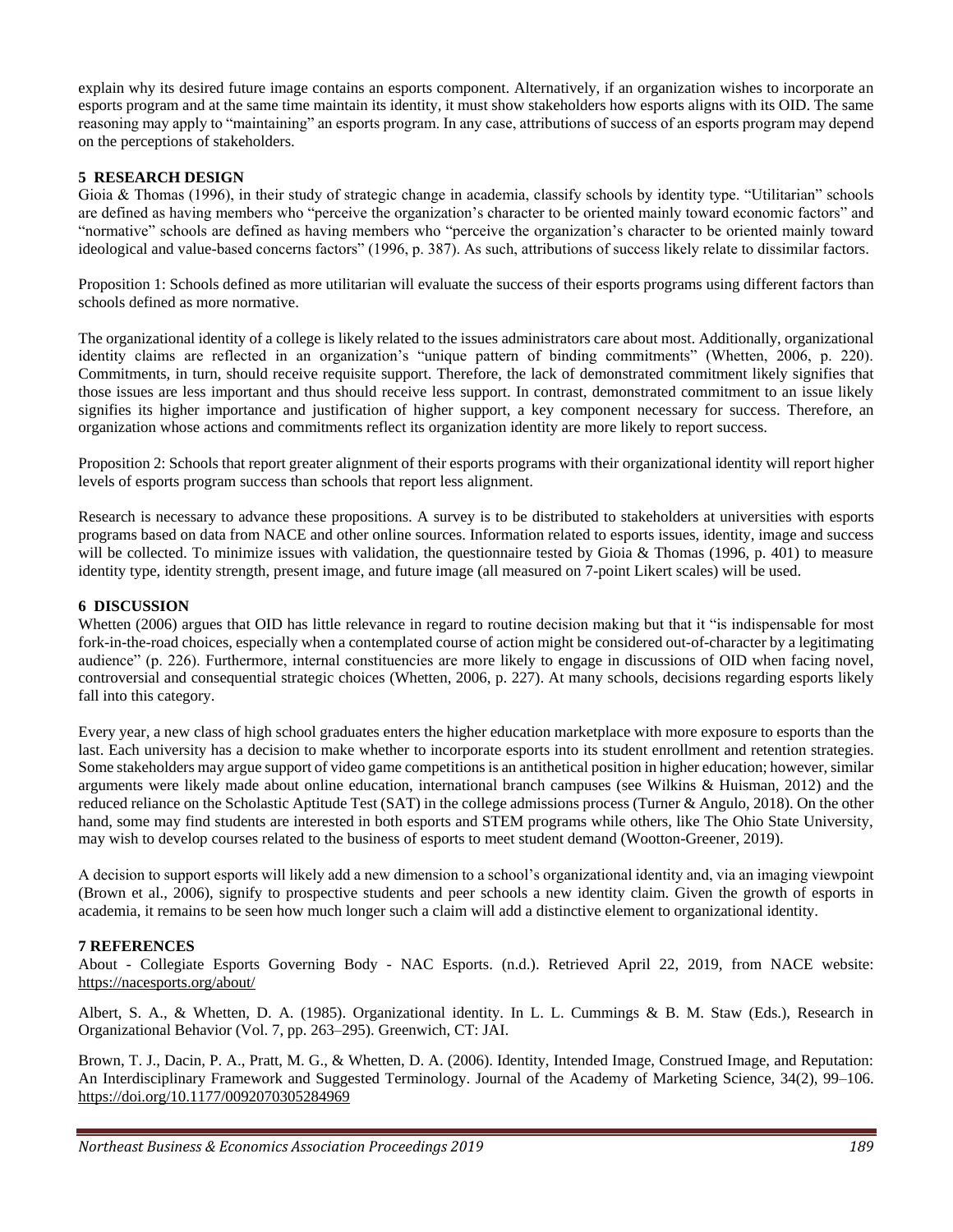explain why its desired future image contains an esports component. Alternatively, if an organization wishes to incorporate an esports program and at the same time maintain its identity, it must show stakeholders how esports aligns with its OID. The same reasoning may apply to "maintaining" an esports program. In any case, attributions of success of an esports program may depend on the perceptions of stakeholders.

### **5 RESEARCH DESIGN**

Gioia & Thomas (1996), in their study of strategic change in academia, classify schools by identity type. "Utilitarian" schools are defined as having members who "perceive the organization's character to be oriented mainly toward economic factors" and "normative" schools are defined as having members who "perceive the organization's character to be oriented mainly toward ideological and value-based concerns factors" (1996, p. 387). As such, attributions of success likely relate to dissimilar factors.

Proposition 1: Schools defined as more utilitarian will evaluate the success of their esports programs using different factors than schools defined as more normative.

The organizational identity of a college is likely related to the issues administrators care about most. Additionally, organizational identity claims are reflected in an organization's "unique pattern of binding commitments" (Whetten, 2006, p. 220). Commitments, in turn, should receive requisite support. Therefore, the lack of demonstrated commitment likely signifies that those issues are less important and thus should receive less support. In contrast, demonstrated commitment to an issue likely signifies its higher importance and justification of higher support, a key component necessary for success. Therefore, an organization whose actions and commitments reflect its organization identity are more likely to report success.

Proposition 2: Schools that report greater alignment of their esports programs with their organizational identity will report higher levels of esports program success than schools that report less alignment.

Research is necessary to advance these propositions. A survey is to be distributed to stakeholders at universities with esports programs based on data from NACE and other online sources. Information related to esports issues, identity, image and success will be collected. To minimize issues with validation, the questionnaire tested by Gioia & Thomas (1996, p. 401) to measure identity type, identity strength, present image, and future image (all measured on 7-point Likert scales) will be used.

#### **6 DISCUSSION**

Whetten (2006) argues that OID has little relevance in regard to routine decision making but that it "is indispensable for most fork-in-the-road choices, especially when a contemplated course of action might be considered out-of-character by a legitimating audience" (p. 226). Furthermore, internal constituencies are more likely to engage in discussions of OID when facing novel, controversial and consequential strategic choices (Whetten, 2006, p. 227). At many schools, decisions regarding esports likely fall into this category.

Every year, a new class of high school graduates enters the higher education marketplace with more exposure to esports than the last. Each university has a decision to make whether to incorporate esports into its student enrollment and retention strategies. Some stakeholders may argue support of video game competitions is an antithetical position in higher education; however, similar arguments were likely made about online education, international branch campuses (see Wilkins & Huisman, 2012) and the reduced reliance on the Scholastic Aptitude Test (SAT) in the college admissions process (Turner & Angulo, 2018). On the other hand, some may find students are interested in both esports and STEM programs while others, like The Ohio State University, may wish to develop courses related to the business of esports to meet student demand (Wootton-Greener, 2019).

A decision to support esports will likely add a new dimension to a school's organizational identity and, via an imaging viewpoint (Brown et al., 2006), signify to prospective students and peer schools a new identity claim. Given the growth of esports in academia, it remains to be seen how much longer such a claim will add a distinctive element to organizational identity.

#### **7 REFERENCES**

About - Collegiate Esports Governing Body - NAC Esports. (n.d.). Retrieved April 22, 2019, from NACE website: https://nacesports.org/about/

Albert, S. A., & Whetten, D. A. (1985). Organizational identity. In L. L. Cummings & B. M. Staw (Eds.), Research in Organizational Behavior (Vol. 7, pp. 263–295). Greenwich, CT: JAI.

Brown, T. J., Dacin, P. A., Pratt, M. G., & Whetten, D. A. (2006). Identity, Intended Image, Construed Image, and Reputation: An Interdisciplinary Framework and Suggested Terminology. Journal of the Academy of Marketing Science, 34(2), 99–106. https://doi.org/10.1177/0092070305284969